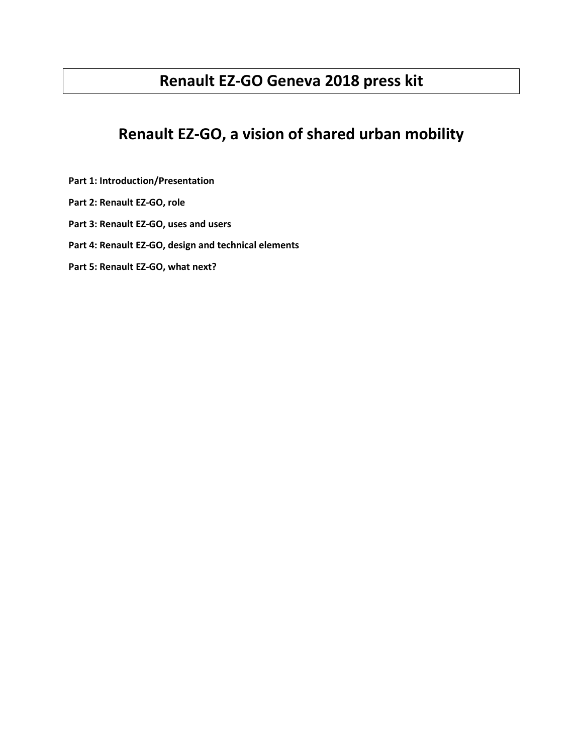# **Renault EZ-GO Geneva 2018 press kit**

# **Renault EZ-GO, a vision of shared urban mobility**

- **Part 1: Introduction/Presentation**
- **Part 2: Renault EZ-GO, role**
- **Part 3: Renault EZ-GO, uses and users**
- **Part 4: Renault EZ-GO, design and technical elements**
- **Part 5: Renault EZ-GO, what next?**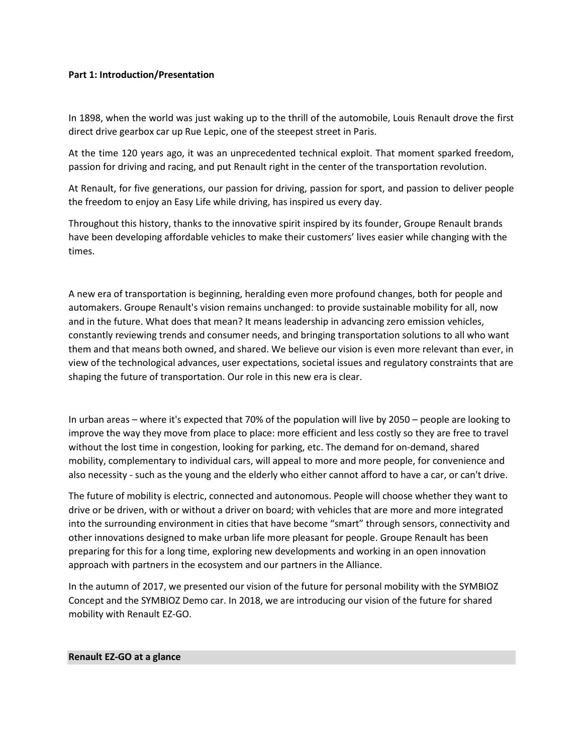## **Part 1: Introduction/Presentation**

In 1898, when the world was just waking up to the thrill of the automobile, Louis Renault drove the first direct drive gearbox car up Rue Lepic, one of the steepest street in Paris.

At the time 120 years ago, it was an unprecedented technical exploit. That moment sparked freedom, passion for driving and racing, and put Renault right in the center of the transportation revolution.

At Renault, for five generations, our passion for driving, passion for sport, and passion to deliver people the freedom to enjoy an Easy Life while driving, has inspired us every day.

Throughout this history, thanks to the innovative spirit inspired by its founder, Groupe Renault brands have been developing affordable vehicles to make their customers' lives easier while changing with the times.

A new era of transportation is beginning, heralding even more profound changes, both for people and automakers. Groupe Renault's vision remains unchanged: to provide sustainable mobility for all, now and in the future. What does that mean? It means leadership in advancing zero emission vehicles, constantly reviewing trends and consumer needs, and bringing transportation solutions to all who want them and that means both owned, and shared. We believe our vision is even more relevant than ever, in view of the technological advances, user expectations, societal issues and regulatory constraints that are shaping the future of transportation. Our role in this new era is clear.

In urban areas – where it's expected that 70% of the population will live by 2050 – people are looking to improve the way they move from place to place: more efficient and less costly so they are free to travel without the lost time in congestion, looking for parking, etc. The demand for on-demand, shared mobility, complementary to individual cars, will appeal to more and more people, for convenience and also necessity - such as the young and the elderly who either cannot afford to have a car, or can't drive.

The future of mobility is electric, connected and autonomous. People will choose whether they want to drive or be driven, with or without a driver on board; with vehicles that are more and more integrated into the surrounding environment in cities that have become "smart" through sensors, connectivity and other innovations designed to make urban life more pleasant for people. Groupe Renault has been preparing for this for a long time, exploring new developments and working in an open innovation approach with partners in the ecosystem and our partners in the Alliance.

In the autumn of 2017, we presented our vision of the future for personal mobility with the SYMBIOZ Concept and the SYMBIOZ Demo car. In 2018, we are introducing our vision of the future for shared mobility with Renault EZ-GO.

#### **Renault EZ-GO at a glance**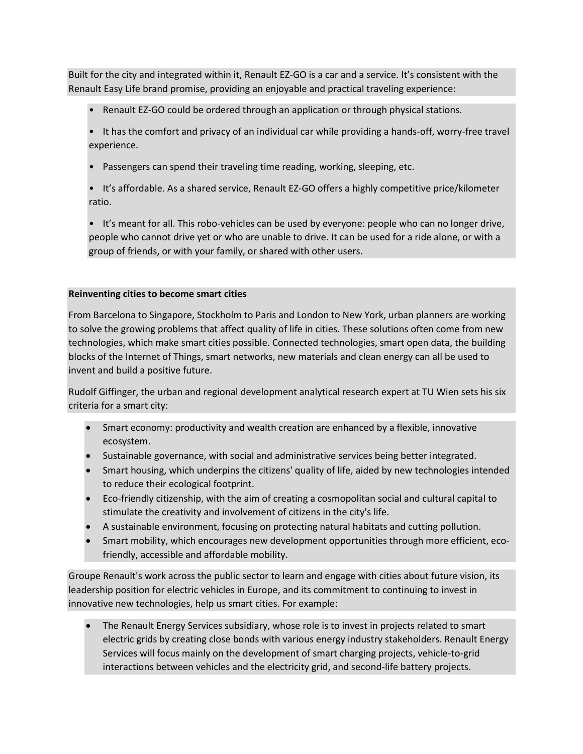Built for the city and integrated within it, Renault EZ-GO is a car and a service. It's consistent with the Renault Easy Life brand promise, providing an enjoyable and practical traveling experience:

- Renault EZ-GO could be ordered through an application or through physical stations.
- It has the comfort and privacy of an individual car while providing a hands-off, worry-free travel experience.
- Passengers can spend their traveling time reading, working, sleeping, etc.
- It's affordable. As a shared service, Renault EZ-GO offers a highly competitive price/kilometer ratio.
- It's meant for all. This robo-vehicles can be used by everyone: people who can no longer drive, people who cannot drive yet or who are unable to drive. It can be used for a ride alone, or with a group of friends, or with your family, or shared with other users.

# **Reinventing cities to become smart cities**

From Barcelona to Singapore, Stockholm to Paris and London to New York, urban planners are working to solve the growing problems that affect quality of life in cities. These solutions often come from new technologies, which make smart cities possible. Connected technologies, smart open data, the building blocks of the Internet of Things, smart networks, new materials and clean energy can all be used to invent and build a positive future.

Rudolf Giffinger, the urban and regional development analytical research expert at TU Wien sets his six criteria for a smart city:

- Smart economy: productivity and wealth creation are enhanced by a flexible, innovative ecosystem.
- Sustainable governance, with social and administrative services being better integrated.
- Smart housing, which underpins the citizens' quality of life, aided by new technologies intended to reduce their ecological footprint.
- Eco-friendly citizenship, with the aim of creating a cosmopolitan social and cultural capital to stimulate the creativity and involvement of citizens in the city's life.
- A sustainable environment, focusing on protecting natural habitats and cutting pollution.
- Smart mobility, which encourages new development opportunities through more efficient, ecofriendly, accessible and affordable mobility.

Groupe Renault's work across the public sector to learn and engage with cities about future vision, its leadership position for electric vehicles in Europe, and its commitment to continuing to invest in innovative new technologies, help us smart cities. For example:

 The Renault Energy Services subsidiary, whose role is to invest in projects related to smart electric grids by creating close bonds with various energy industry stakeholders. Renault Energy Services will focus mainly on the development of smart charging projects, vehicle-to-grid interactions between vehicles and the electricity grid, and second-life battery projects.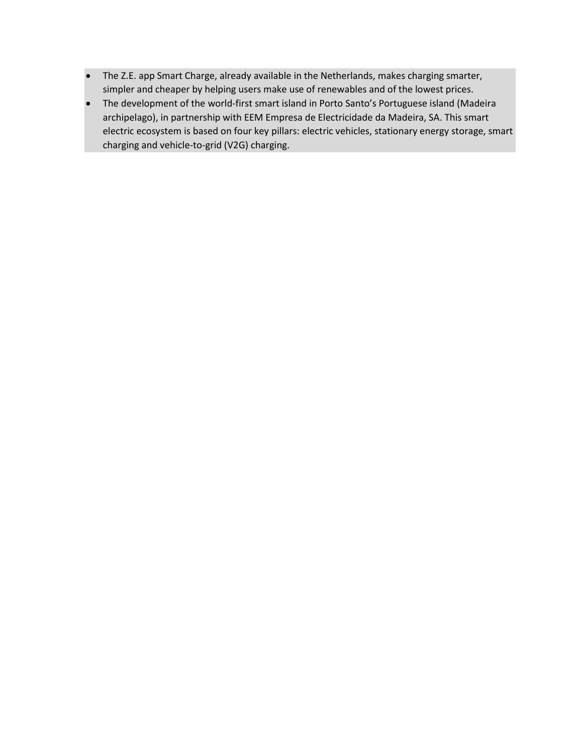- The Z.E. app Smart Charge, already available in the Netherlands, makes charging smarter, simpler and cheaper by helping users make use of renewables and of the lowest prices.
- The development of the world-first smart island in Porto Santo's Portuguese island (Madeira archipelago), in partnership with EEM Empresa de Electricidade da Madeira, SA. This smart electric ecosystem is based on four key pillars: electric vehicles, stationary energy storage, smart charging and vehicle-to-grid (V2G) charging.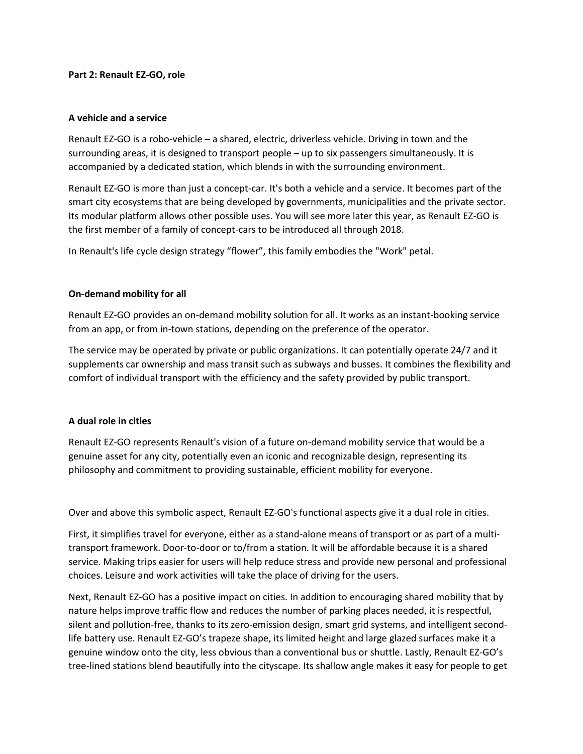#### **Part 2: Renault EZ-GO, role**

#### **A vehicle and a service**

Renault EZ-GO is a robo-vehicle – a shared, electric, driverless vehicle. Driving in town and the surrounding areas, it is designed to transport people – up to six passengers simultaneously. It is accompanied by a dedicated station, which blends in with the surrounding environment.

Renault EZ-GO is more than just a concept-car. It's both a vehicle and a service. It becomes part of the smart city ecosystems that are being developed by governments, municipalities and the private sector. Its modular platform allows other possible uses. You will see more later this year, as Renault EZ-GO is the first member of a family of concept-cars to be introduced all through 2018.

In Renault's life cycle design strategy "flower", this family embodies the "Work" petal.

# **On-demand mobility for all**

Renault EZ-GO provides an on-demand mobility solution for all. It works as an instant-booking service from an app, or from in-town stations, depending on the preference of the operator.

The service may be operated by private or public organizations. It can potentially operate 24/7 and it supplements car ownership and mass transit such as subways and busses. It combines the flexibility and comfort of individual transport with the efficiency and the safety provided by public transport.

#### **A dual role in cities**

Renault EZ-GO represents Renault's vision of a future on-demand mobility service that would be a genuine asset for any city, potentially even an iconic and recognizable design, representing its philosophy and commitment to providing sustainable, efficient mobility for everyone.

Over and above this symbolic aspect, Renault EZ-GO's functional aspects give it a dual role in cities.

First, it simplifies travel for everyone, either as a stand-alone means of transport or as part of a multitransport framework. Door-to-door or to/from a station. It will be affordable because it is a shared service. Making trips easier for users will help reduce stress and provide new personal and professional choices. Leisure and work activities will take the place of driving for the users.

Next, Renault EZ-GO has a positive impact on cities. In addition to encouraging shared mobility that by nature helps improve traffic flow and reduces the number of parking places needed, it is respectful, silent and pollution-free, thanks to its zero-emission design, smart grid systems, and intelligent secondlife battery use. Renault EZ-GO's trapeze shape, its limited height and large glazed surfaces make it a genuine window onto the city, less obvious than a conventional bus or shuttle. Lastly, Renault EZ-GO's tree-lined stations blend beautifully into the cityscape. Its shallow angle makes it easy for people to get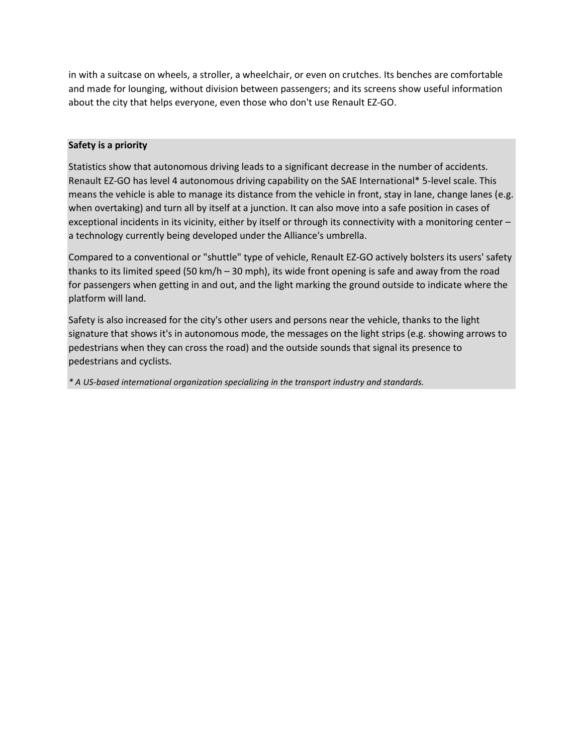in with a suitcase on wheels, a stroller, a wheelchair, or even on crutches. Its benches are comfortable and made for lounging, without division between passengers; and its screens show useful information about the city that helps everyone, even those who don't use Renault EZ-GO.

# **Safety is a priority**

Statistics show that autonomous driving leads to a significant decrease in the number of accidents. Renault EZ-GO has level 4 autonomous driving capability on the SAE International\* 5-level scale. This means the vehicle is able to manage its distance from the vehicle in front, stay in lane, change lanes (e.g. when overtaking) and turn all by itself at a junction. It can also move into a safe position in cases of exceptional incidents in its vicinity, either by itself or through its connectivity with a monitoring center – a technology currently being developed under the Alliance's umbrella.

Compared to a conventional or "shuttle" type of vehicle, Renault EZ-GO actively bolsters its users' safety thanks to its limited speed (50 km/h – 30 mph), its wide front opening is safe and away from the road for passengers when getting in and out, and the light marking the ground outside to indicate where the platform will land.

Safety is also increased for the city's other users and persons near the vehicle, thanks to the light signature that shows it's in autonomous mode, the messages on the light strips (e.g. showing arrows to pedestrians when they can cross the road) and the outside sounds that signal its presence to pedestrians and cyclists.

*\* A US-based international organization specializing in the transport industry and standards.*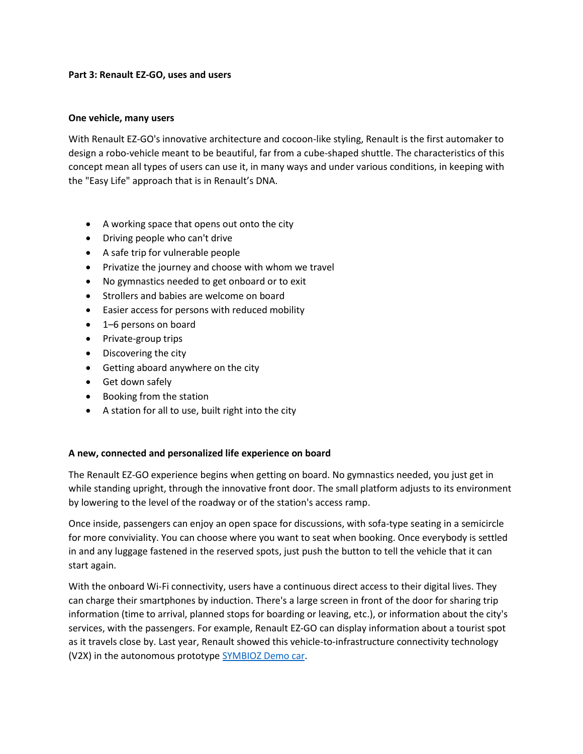## **Part 3: Renault EZ-GO, uses and users**

## **One vehicle, many users**

With Renault EZ-GO's innovative architecture and cocoon-like styling, Renault is the first automaker to design a robo-vehicle meant to be beautiful, far from a cube-shaped shuttle. The characteristics of this concept mean all types of users can use it, in many ways and under various conditions, in keeping with the "Easy Life" approach that is in Renault's DNA.

- A working space that opens out onto the city
- Driving people who can't drive
- A safe trip for vulnerable people
- Privatize the journey and choose with whom we travel
- No gymnastics needed to get onboard or to exit
- Strollers and babies are welcome on board
- Easier access for persons with reduced mobility
- 1–6 persons on board
- Private-group trips
- Discovering the city
- Getting aboard anywhere on the city
- Get down safely
- Booking from the station
- A station for all to use, built right into the city

# **A new, connected and personalized life experience on board**

The Renault EZ-GO experience begins when getting on board. No gymnastics needed, you just get in while standing upright, through the innovative front door. The small platform adjusts to its environment by lowering to the level of the roadway or of the station's access ramp.

Once inside, passengers can enjoy an open space for discussions, with sofa-type seating in a semicircle for more conviviality. You can choose where you want to seat when booking. Once everybody is settled in and any luggage fastened in the reserved spots, just push the button to tell the vehicle that it can start again.

With the onboard Wi-Fi connectivity, users have a continuous direct access to their digital lives. They can charge their smartphones by induction. There's a large screen in front of the door for sharing trip information (time to arrival, planned stops for boarding or leaving, etc.), or information about the city's services, with the passengers. For example, Renault EZ-GO can display information about a tourist spot as it travels close by. Last year, Renault showed this vehicle-to-infrastructure connectivity technology (V2X) in the autonomous prototyp[e SYMBIOZ Demo car.](https://media.group.renault.com/global/en-gb/renault/media/presspacks/21201092/renault-symbioz-demo-car-lexperience-de-demain-commence-aujourdhui-autonome-electrique-et-connectee)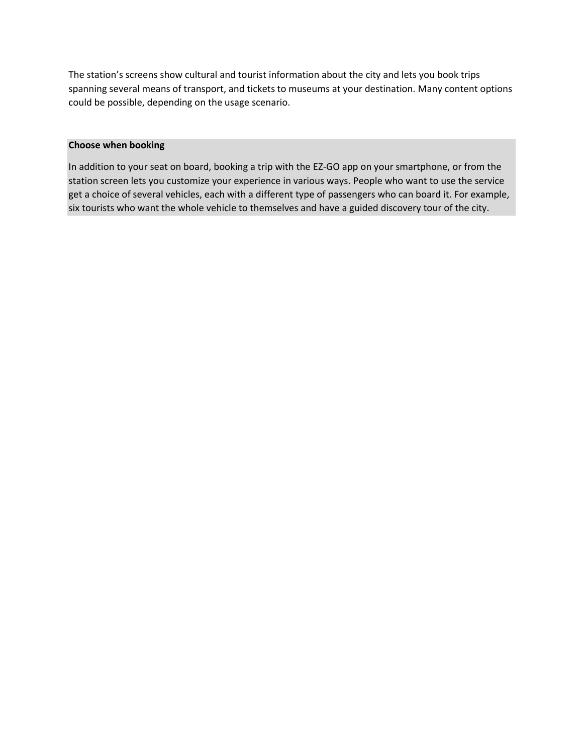The station's screens show cultural and tourist information about the city and lets you book trips spanning several means of transport, and tickets to museums at your destination. Many content options could be possible, depending on the usage scenario.

## **Choose when booking**

In addition to your seat on board, booking a trip with the EZ-GO app on your smartphone, or from the station screen lets you customize your experience in various ways. People who want to use the service get a choice of several vehicles, each with a different type of passengers who can board it. For example, six tourists who want the whole vehicle to themselves and have a guided discovery tour of the city.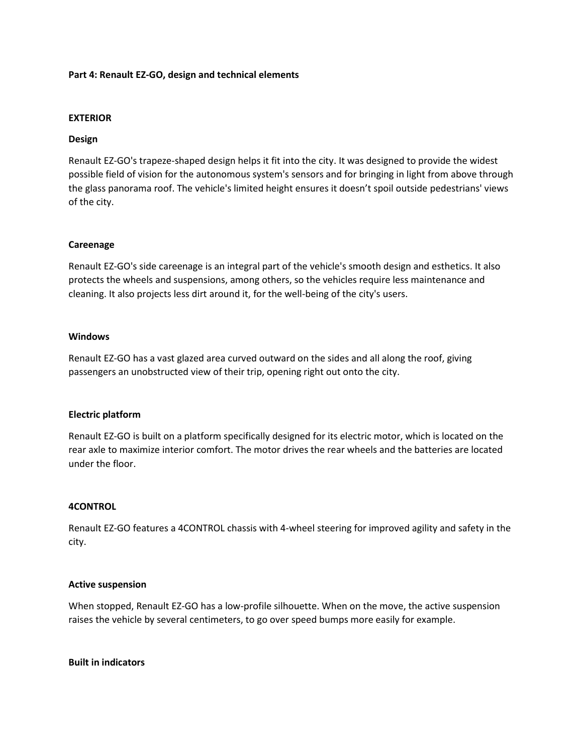#### **Part 4: Renault EZ-GO, design and technical elements**

#### **EXTERIOR**

## **Design**

Renault EZ-GO's trapeze-shaped design helps it fit into the city. It was designed to provide the widest possible field of vision for the autonomous system's sensors and for bringing in light from above through the glass panorama roof. The vehicle's limited height ensures it doesn't spoil outside pedestrians' views of the city.

## **Careenage**

Renault EZ-GO's side careenage is an integral part of the vehicle's smooth design and esthetics. It also protects the wheels and suspensions, among others, so the vehicles require less maintenance and cleaning. It also projects less dirt around it, for the well-being of the city's users.

## **Windows**

Renault EZ-GO has a vast glazed area curved outward on the sides and all along the roof, giving passengers an unobstructed view of their trip, opening right out onto the city.

#### **Electric platform**

Renault EZ-GO is built on a platform specifically designed for its electric motor, which is located on the rear axle to maximize interior comfort. The motor drives the rear wheels and the batteries are located under the floor.

#### **4CONTROL**

Renault EZ-GO features a 4CONTROL chassis with 4-wheel steering for improved agility and safety in the city.

#### **Active suspension**

When stopped, Renault EZ-GO has a low-profile silhouette. When on the move, the active suspension raises the vehicle by several centimeters, to go over speed bumps more easily for example.

**Built in indicators**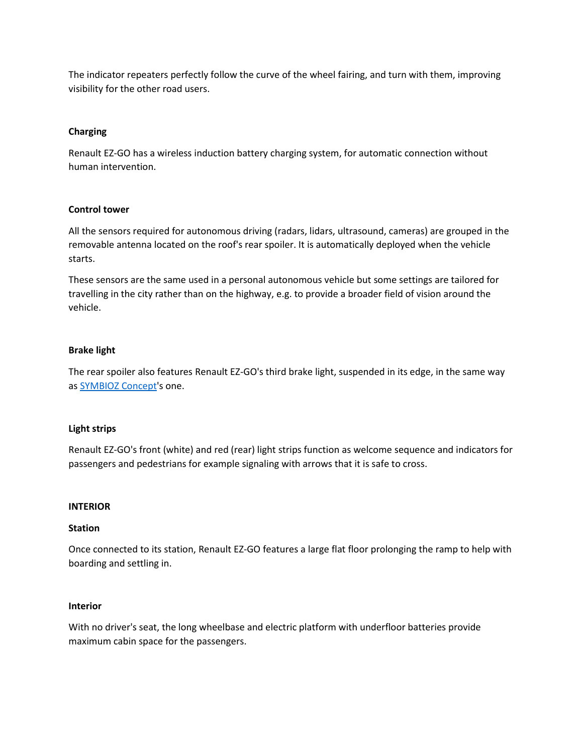The indicator repeaters perfectly follow the curve of the wheel fairing, and turn with them, improving visibility for the other road users.

# **Charging**

Renault EZ-GO has a wireless induction battery charging system, for automatic connection without human intervention.

# **Control tower**

All the sensors required for autonomous driving (radars, lidars, ultrasound, cameras) are grouped in the removable antenna located on the roof's rear spoiler. It is automatically deployed when the vehicle starts.

These sensors are the same used in a personal autonomous vehicle but some settings are tailored for travelling in the city rather than on the highway, e.g. to provide a broader field of vision around the vehicle.

## **Brake light**

The rear spoiler also features Renault EZ-GO's third brake light, suspended in its edge, in the same way as [SYMBIOZ Concept'](https://media.group.renault.com/global/en-gb/renault/media/presspacks/21194993/salon-automobile-international-de-francfort-renault-presente-sa-vision-du-futur)s one.

#### **Light strips**

Renault EZ-GO's front (white) and red (rear) light strips function as welcome sequence and indicators for passengers and pedestrians for example signaling with arrows that it is safe to cross.

#### **INTERIOR**

#### **Station**

Once connected to its station, Renault EZ-GO features a large flat floor prolonging the ramp to help with boarding and settling in.

#### **Interior**

With no driver's seat, the long wheelbase and electric platform with underfloor batteries provide maximum cabin space for the passengers.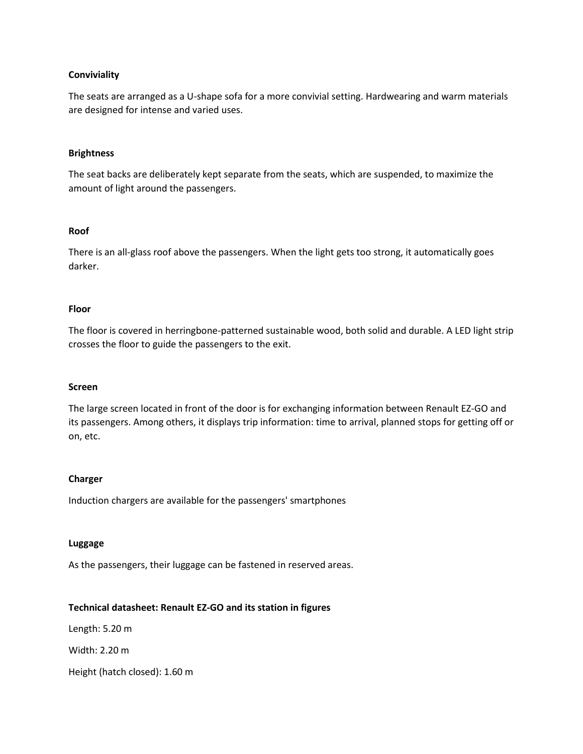## **Conviviality**

The seats are arranged as a U-shape sofa for a more convivial setting. Hardwearing and warm materials are designed for intense and varied uses.

#### **Brightness**

The seat backs are deliberately kept separate from the seats, which are suspended, to maximize the amount of light around the passengers.

## **Roof**

There is an all-glass roof above the passengers. When the light gets too strong, it automatically goes darker.

## **Floor**

The floor is covered in herringbone-patterned sustainable wood, both solid and durable. A LED light strip crosses the floor to guide the passengers to the exit.

#### **Screen**

The large screen located in front of the door is for exchanging information between Renault EZ-GO and its passengers. Among others, it displays trip information: time to arrival, planned stops for getting off or on, etc.

# **Charger**

Induction chargers are available for the passengers' smartphones

#### **Luggage**

As the passengers, their luggage can be fastened in reserved areas.

# **Technical datasheet: Renault EZ-GO and its station in figures**

Length: 5.20 m

Width: 2.20 m

Height (hatch closed): 1.60 m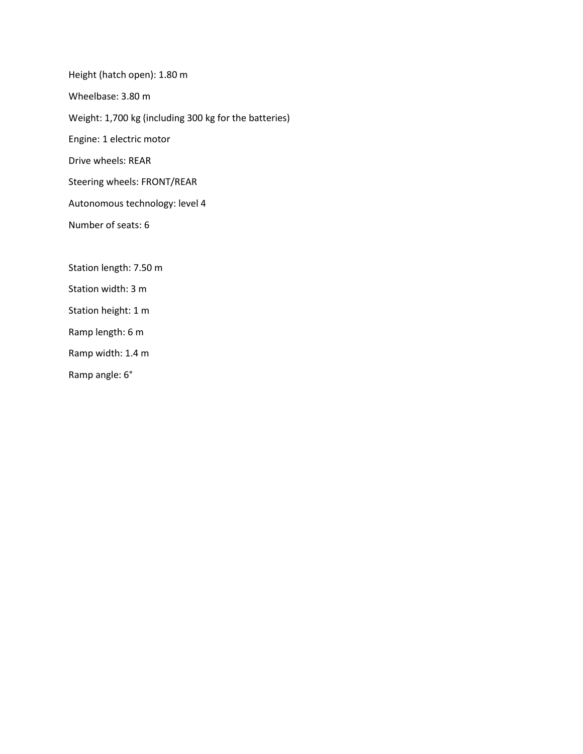Height (hatch open): 1.80 m Wheelbase: 3.80 m Weight: 1,700 kg (including 300 kg for the batteries) Engine: 1 electric motor Drive wheels: REAR Steering wheels: FRONT/REAR Autonomous technology: level 4 Number of seats: 6 Station length: 7.50 m Station width: 3 m

Station height: 1 m

Ramp length: 6 m

Ramp width: 1.4 m

Ramp angle: 6°